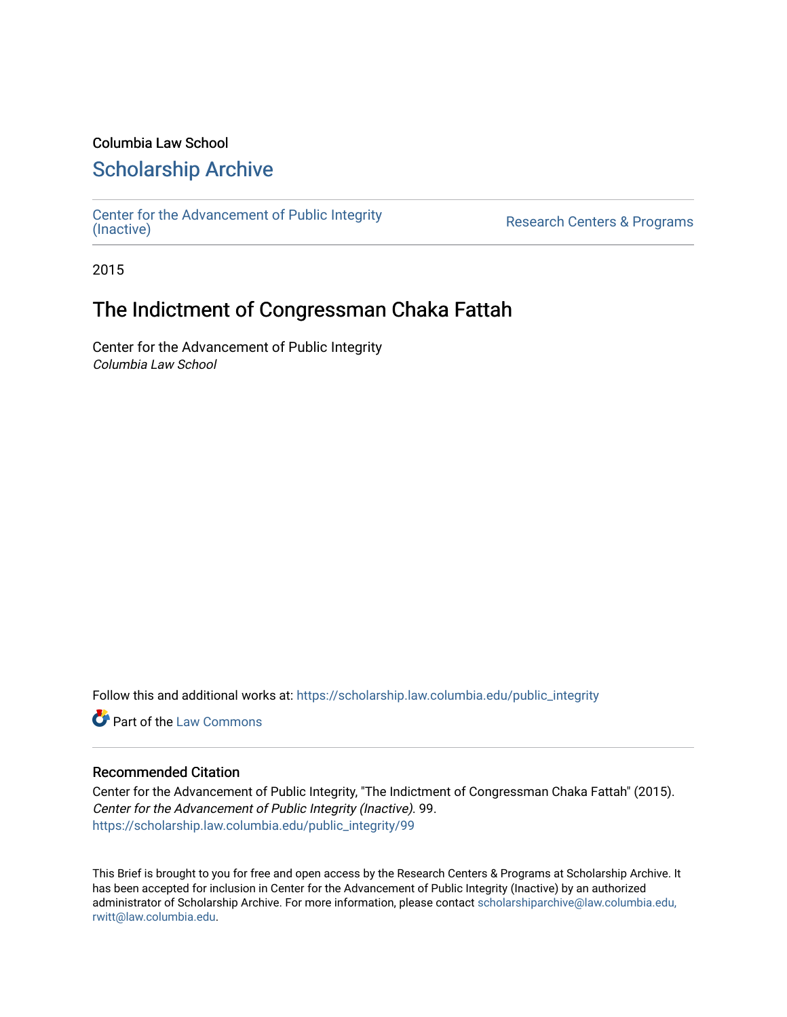### Columbia Law School

### [Scholarship Archive](https://scholarship.law.columbia.edu/)

[Center for the Advancement of Public Integrity](https://scholarship.law.columbia.edu/public_integrity)<br>(Inactive)

Research Centers & Programs

2015

## The Indictment of Congressman Chaka Fattah

Center for the Advancement of Public Integrity Columbia Law School

Follow this and additional works at: [https://scholarship.law.columbia.edu/public\\_integrity](https://scholarship.law.columbia.edu/public_integrity?utm_source=scholarship.law.columbia.edu%2Fpublic_integrity%2F99&utm_medium=PDF&utm_campaign=PDFCoverPages)

**Part of the [Law Commons](http://network.bepress.com/hgg/discipline/578?utm_source=scholarship.law.columbia.edu%2Fpublic_integrity%2F99&utm_medium=PDF&utm_campaign=PDFCoverPages)** 

#### Recommended Citation

Center for the Advancement of Public Integrity, "The Indictment of Congressman Chaka Fattah" (2015). Center for the Advancement of Public Integrity (Inactive). 99. [https://scholarship.law.columbia.edu/public\\_integrity/99](https://scholarship.law.columbia.edu/public_integrity/99?utm_source=scholarship.law.columbia.edu%2Fpublic_integrity%2F99&utm_medium=PDF&utm_campaign=PDFCoverPages) 

This Brief is brought to you for free and open access by the Research Centers & Programs at Scholarship Archive. It has been accepted for inclusion in Center for the Advancement of Public Integrity (Inactive) by an authorized administrator of Scholarship Archive. For more information, please contact [scholarshiparchive@law.columbia.edu,](mailto:scholarshiparchive@law.columbia.edu,%20rwitt@law.columbia.edu)  [rwitt@law.columbia.edu.](mailto:scholarshiparchive@law.columbia.edu,%20rwitt@law.columbia.edu)